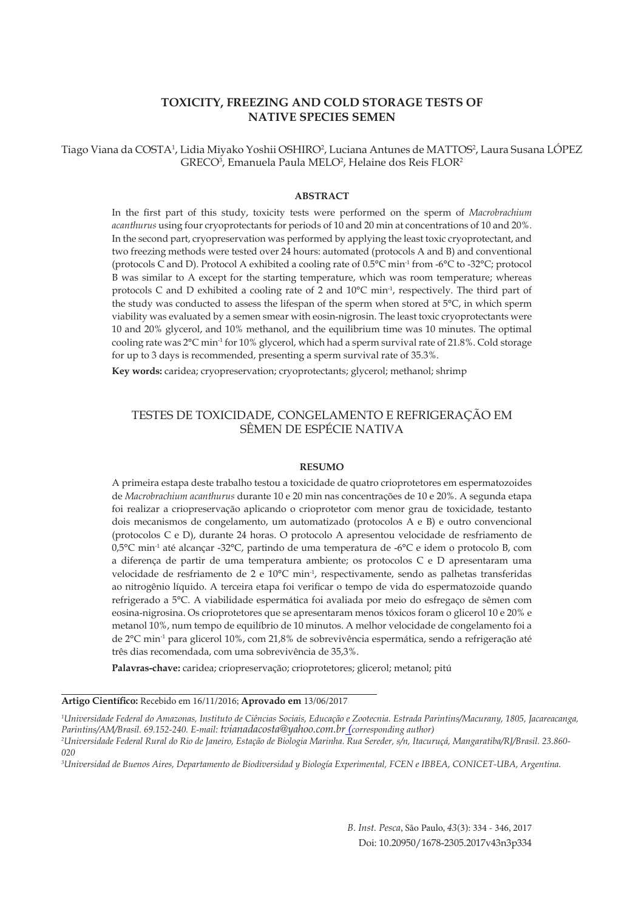# **TOXICITY, FREEZING AND COLD STORAGE TESTS OF NATIVE SPECIES SEMEN**

Tiago Viana da COSTA<sup>1</sup>, Lidia Miyako Yoshii OSHIRO<sup>2</sup>, Luciana Antunes de MATTOS<sup>2</sup>, Laura Susana LÓPEZ GRECO<sup>3</sup>, Emanuela Paula MELO<sup>2</sup>, Helaine dos Reis FLOR<sup>2</sup>

#### **ABSTRACT**

In the first part of this study, toxicity tests were performed on the sperm of *Macrobrachium acanthurus* using four cryoprotectants for periods of 10 and 20 min at concentrations of 10 and 20%. In the second part, cryopreservation was performed by applying the least toxic cryoprotectant, and two freezing methods were tested over 24 hours: automated (protocols A and B) and conventional (protocols C and D). Protocol A exhibited a cooling rate of 0.5°C min-1 from -6°C to -32°C; protocol B was similar to A except for the starting temperature, which was room temperature; whereas protocols C and D exhibited a cooling rate of 2 and 10°C min<sup>-1</sup>, respectively. The third part of the study was conducted to assess the lifespan of the sperm when stored at 5°C, in which sperm viability was evaluated by a semen smear with eosin-nigrosin. The least toxic cryoprotectants were 10 and 20% glycerol, and 10% methanol, and the equilibrium time was 10 minutes. The optimal cooling rate was 2°C min-1 for 10% glycerol, which had a sperm survival rate of 21.8%. Cold storage for up to 3 days is recommended, presenting a sperm survival rate of 35.3%.

**Key words:** caridea; cryopreservation; cryoprotectants; glycerol; methanol; shrimp

## TESTES DE TOXICIDADE, CONGELAMENTO E REFRIGERAÇÃO EM SÊMEN DE ESPÉCIE NATIVA

#### **RESUMO**

A primeira estapa deste trabalho testou a toxicidade de quatro crioprotetores em espermatozoides de *Macrobrachium acanthurus* durante 10 e 20 min nas concentrações de 10 e 20%. A segunda etapa foi realizar a criopreservação aplicando o crioprotetor com menor grau de toxicidade, testanto dois mecanismos de congelamento, um automatizado (protocolos A e B) e outro convencional (protocolos C e D), durante 24 horas. O protocolo A apresentou velocidade de resfriamento de 0,5°C min-1 até alcançar -32°C, partindo de uma temperatura de -6°C e idem o protocolo B, com a diferença de partir de uma temperatura ambiente; os protocolos C e D apresentaram uma velocidade de resfriamento de 2 e 10°C min<sup>-1</sup>, respectivamente, sendo as palhetas transferidas ao nitrogênio líquido. A terceira etapa foi verificar o tempo de vida do espermatozoide quando refrigerado a 5°C. A viabilidade espermática foi avaliada por meio do esfregaço de sêmen com eosina-nigrosina. Os crioprotetores que se apresentaram menos tóxicos foram o glicerol 10 e 20% e metanol 10%, num tempo de equilíbrio de 10 minutos. A melhor velocidade de congelamento foi a de 2°C min-1 para glicerol 10%, com 21,8% de sobrevivência espermática, sendo a refrigeração até três dias recomendada, com uma sobrevivência de 35,3%.

**Palavras-chave:** caridea; criopreservação; crioprotetores; glicerol; metanol; pitú

**Artigo Científico:** Recebido em 16/11/2016; **Aprovado em** 13/06/2017

*1 Universidade Federal do Amazonas, Instituto de Ciências Sociais, Educação e Zootecnia. Estrada Parintins/Macurany, 1805, Jacareacanga, Parintins/AM/Brasil. 69.152-240. E-mail: tvianadacosta@yahoo.com.br (corresponding author) 2*

*Universidade Federal Rural do Rio de Janeiro, Estação de Biologia Marinha. Rua Sereder, s/n, Itacuruçá, Mangaratiba/RJ/Brasil. 23.860- 020*

*3 Universidad de Buenos Aires, Departamento de Biodiversidad y Biología Experimental, FCEN e IBBEA, CONICET-UBA, Argentina.*

*B. Inst. Pesca*, São Paulo, *43*(3): 334 - 346, 2017 Doi: 10.20950/1678-2305.2017v43n3p334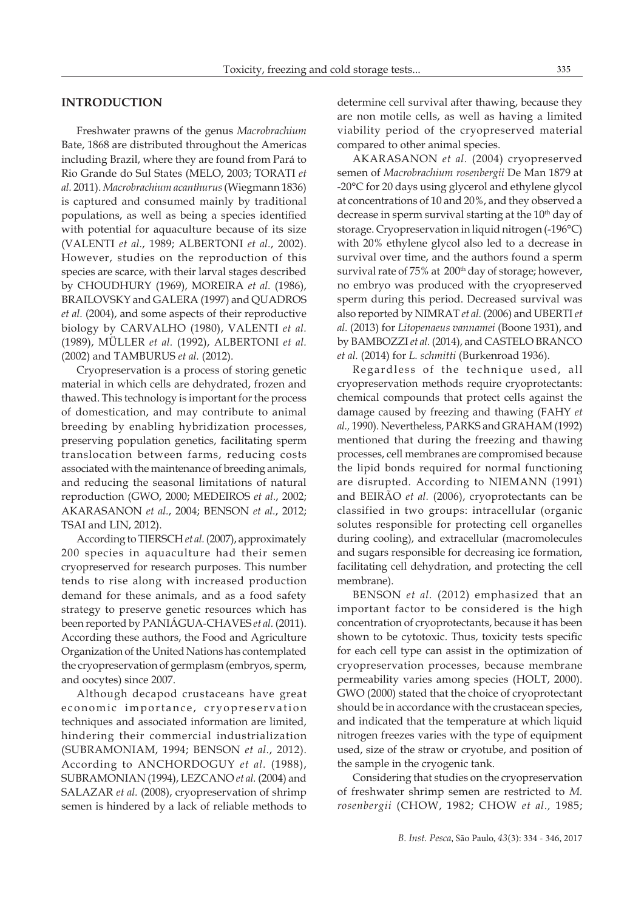## **INTRODUCTION**

Freshwater prawns of the genus *Macrobrachium*  Bate, 1868 are distributed throughout the Americas including Brazil, where they are found from Pará to Rio Grande do Sul States (MELO, 2003; TORATI *et al.* 2011). *Macrobrachium acanthurus* (Wiegmann 1836) is captured and consumed mainly by traditional populations, as well as being a species identified with potential for aquaculture because of its size (VALENTI *et al.*, 1989; ALBERTONI *et al.*, 2002). However, studies on the reproduction of this species are scarce, with their larval stages described by CHOUDHURY (1969), MOREIRA *et al.* (1986), BRAILOVSKY and GALERA (1997) and QUADROS *et al.* (2004), and some aspects of their reproductive biology by CARVALHO (1980), VALENTI *et al.* (1989), MÜLLER *et al.* (1992), ALBERTONI *et al.* (2002) and TAMBURUS *et al.* (2012).

Cryopreservation is a process of storing genetic material in which cells are dehydrated, frozen and thawed. This technology is important for the process of domestication, and may contribute to animal breeding by enabling hybridization processes, preserving population genetics, facilitating sperm translocation between farms, reducing costs associated with the maintenance of breeding animals, and reducing the seasonal limitations of natural reproduction (GWO, 2000; MEDEIROS *et al.*, 2002; AKARASANON *et al.*, 2004; BENSON *et al.*, 2012; TSAI and LIN, 2012).

According to TIERSCH *et al.* (2007), approximately 200 species in aquaculture had their semen cryopreserved for research purposes. This number tends to rise along with increased production demand for these animals, and as a food safety strategy to preserve genetic resources which has been reported by PANIÁGUA-CHAVES *et al.* (2011). According these authors, the Food and Agriculture Organization of the United Nations has contemplated the cryopreservation of germplasm (embryos, sperm, and oocytes) since 2007.

Although decapod crustaceans have great economic importance, cryopreservation techniques and associated information are limited, hindering their commercial industrialization (SUBRAMONIAM, 1994; BENSON *et al.*, 2012). According to ANCHORDOGUY *et al.* (1988), SUBRAMONIAN (1994), LEZCANO *et al.* (2004) and SALAZAR *et al.* (2008), cryopreservation of shrimp semen is hindered by a lack of reliable methods to

determine cell survival after thawing, because they are non motile cells, as well as having a limited viability period of the cryopreserved material compared to other animal species.

AKARASANON *et al.* (2004) cryopreserved semen of *Macrobrachium rosenbergii* De Man 1879 at -20°C for 20 days using glycerol and ethylene glycol at concentrations of 10 and 20%, and they observed a decrease in sperm survival starting at the  $10<sup>th</sup>$  day of storage. Cryopreservation in liquid nitrogen (-196°C) with 20% ethylene glycol also led to a decrease in survival over time, and the authors found a sperm survival rate of 75% at 200<sup>th</sup> day of storage; however, no embryo was produced with the cryopreserved sperm during this period. Decreased survival was also reported by NIMRAT *et al.* (2006) and UBERTI *et al.* (2013) for *Litopenaeus vannamei* (Boone 1931), and by BAMBOZZI *et al.* (2014), and CASTELO BRANCO *et al.* (2014) for *L. schmitti* (Burkenroad 1936).

Regardless of the technique used, all cryopreservation methods require cryoprotectants: chemical compounds that protect cells against the damage caused by freezing and thawing (FAHY *et al.,* 1990). Nevertheless, PARKS and GRAHAM (1992) mentioned that during the freezing and thawing processes, cell membranes are compromised because the lipid bonds required for normal functioning are disrupted. According to NIEMANN (1991) and BEIRÃO *et al.* (2006), cryoprotectants can be classified in two groups: intracellular (organic solutes responsible for protecting cell organelles during cooling), and extracellular (macromolecules and sugars responsible for decreasing ice formation, facilitating cell dehydration, and protecting the cell membrane).

BENSON *et al.* (2012) emphasized that an important factor to be considered is the high concentration of cryoprotectants, because it has been shown to be cytotoxic. Thus, toxicity tests specific for each cell type can assist in the optimization of cryopreservation processes, because membrane permeability varies among species (HOLT, 2000). GWO (2000) stated that the choice of cryoprotectant should be in accordance with the crustacean species, and indicated that the temperature at which liquid nitrogen freezes varies with the type of equipment used, size of the straw or cryotube, and position of the sample in the cryogenic tank.

Considering that studies on the cryopreservation of freshwater shrimp semen are restricted to *M. rosenbergii* (CHOW, 1982; CHOW *et al.,* 1985;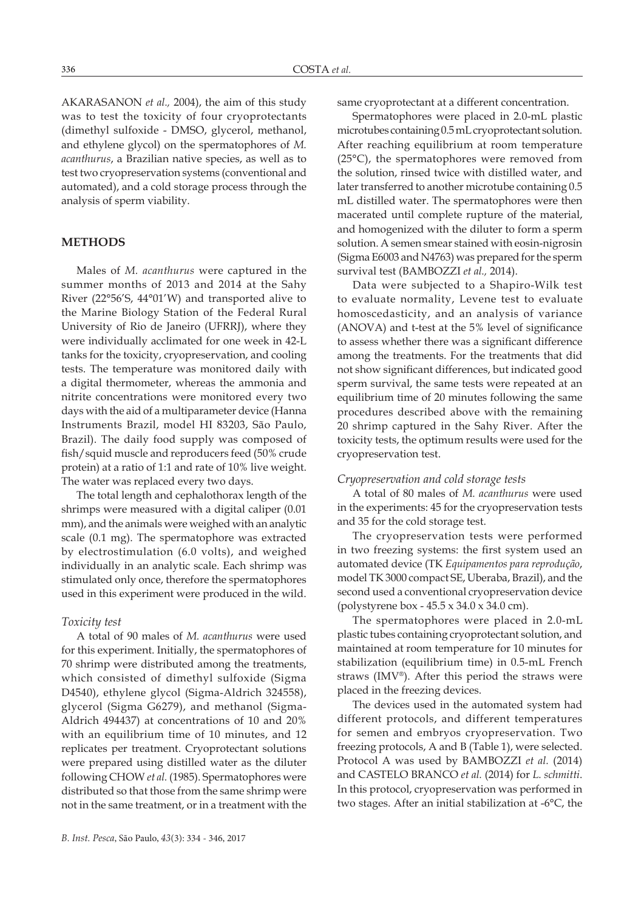AKARASANON *et al.,* 2004), the aim of this study was to test the toxicity of four cryoprotectants (dimethyl sulfoxide - DMSO, glycerol, methanol, and ethylene glycol) on the spermatophores of *M. acanthurus*, a Brazilian native species, as well as to test two cryopreservation systems (conventional and automated), and a cold storage process through the analysis of sperm viability.

# **METHODS**

Males of *M. acanthurus* were captured in the summer months of 2013 and 2014 at the Sahy River (22°56'S, 44°01'W) and transported alive to the Marine Biology Station of the Federal Rural University of Rio de Janeiro (UFRRJ), where they were individually acclimated for one week in 42-L tanks for the toxicity, cryopreservation, and cooling tests. The temperature was monitored daily with a digital thermometer, whereas the ammonia and nitrite concentrations were monitored every two days with the aid of a multiparameter device (Hanna Instruments Brazil, model HI 83203, São Paulo, Brazil). The daily food supply was composed of fish/squid muscle and reproducers feed (50% crude protein) at a ratio of 1:1 and rate of 10% live weight. The water was replaced every two days.

The total length and cephalothorax length of the shrimps were measured with a digital caliper (0.01 mm), and the animals were weighed with an analytic scale (0.1 mg). The spermatophore was extracted by electrostimulation (6.0 volts), and weighed individually in an analytic scale. Each shrimp was stimulated only once, therefore the spermatophores used in this experiment were produced in the wild.

## *Toxicity test*

A total of 90 males of *M. acanthurus* were used for this experiment. Initially, the spermatophores of 70 shrimp were distributed among the treatments, which consisted of dimethyl sulfoxide (Sigma D4540), ethylene glycol (Sigma-Aldrich 324558), glycerol (Sigma G6279), and methanol (Sigma-Aldrich 494437) at concentrations of 10 and 20% with an equilibrium time of 10 minutes, and 12 replicates per treatment. Cryoprotectant solutions were prepared using distilled water as the diluter following CHOW *et al.* (1985). Spermatophores were distributed so that those from the same shrimp were not in the same treatment, or in a treatment with the

same cryoprotectant at a different concentration.

Spermatophores were placed in 2.0-mL plastic microtubes containing 0.5 mL cryoprotectant solution. After reaching equilibrium at room temperature (25°C), the spermatophores were removed from the solution, rinsed twice with distilled water, and later transferred to another microtube containing 0.5 mL distilled water. The spermatophores were then macerated until complete rupture of the material, and homogenized with the diluter to form a sperm solution. A semen smear stained with eosin-nigrosin (Sigma E6003 and N4763) was prepared for the sperm survival test (BAMBOZZI *et al.,* 2014).

Data were subjected to a Shapiro-Wilk test to evaluate normality, Levene test to evaluate homoscedasticity, and an analysis of variance (ANOVA) and t-test at the 5% level of significance to assess whether there was a significant difference among the treatments. For the treatments that did not show significant differences, but indicated good sperm survival, the same tests were repeated at an equilibrium time of 20 minutes following the same procedures described above with the remaining 20 shrimp captured in the Sahy River. After the toxicity tests, the optimum results were used for the cryopreservation test.

#### *Cryopreservation and cold storage tests*

A total of 80 males of *M. acanthurus* were used in the experiments: 45 for the cryopreservation tests and 35 for the cold storage test.

The cryopreservation tests were performed in two freezing systems: the first system used an automated device (TK *Equipamentos para reprodução*, model TK 3000 compact SE, Uberaba, Brazil), and the second used a conventional cryopreservation device (polystyrene box - 45.5 x 34.0 x 34.0 cm).

The spermatophores were placed in 2.0-mL plastic tubes containing cryoprotectant solution, and maintained at room temperature for 10 minutes for stabilization (equilibrium time) in 0.5-mL French straws (IMV®). After this period the straws were placed in the freezing devices.

The devices used in the automated system had different protocols, and different temperatures for semen and embryos cryopreservation. Two freezing protocols, A and B (Table 1), were selected. Protocol A was used by BAMBOZZI *et al.* (2014) and CASTELO BRANCO *et al.* (2014) for *L. schmitti*. In this protocol, cryopreservation was performed in two stages. After an initial stabilization at -6°C, the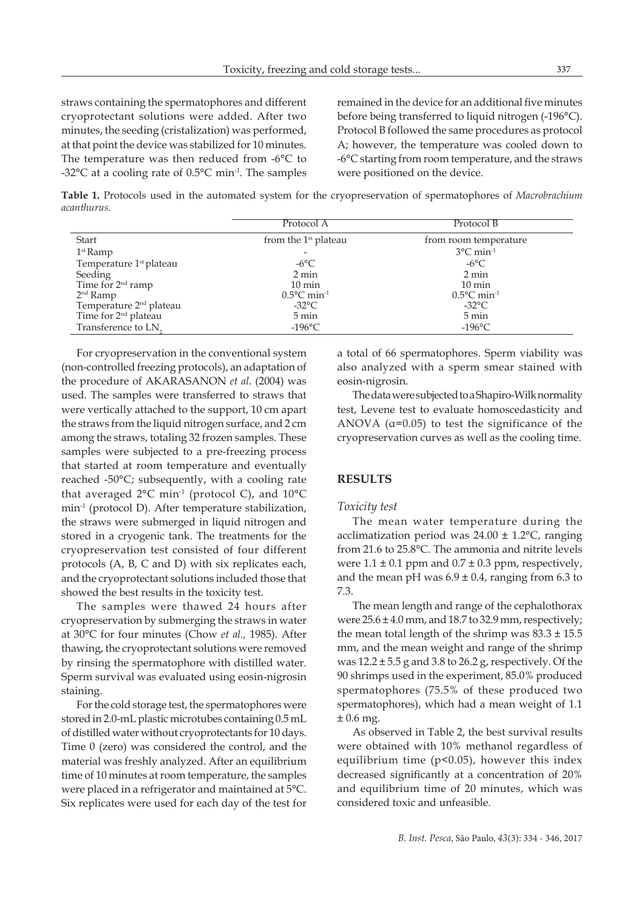straws containing the spermatophores and different cryoprotectant solutions were added. After two minutes, the seeding (cristalization) was performed, at that point the device was stabilized for 10 minutes. The temperature was then reduced from -6°C to -32 $^{\circ}$ C at a cooling rate of 0.5 $^{\circ}$ C min<sup>-1</sup>. The samples

remained in the device for an additional five minutes before being transferred to liquid nitrogen (-196°C). Protocol B followed the same procedures as protocol A; however, the temperature was cooled down to -6°C starting from room temperature, and the straws were positioned on the device.

**Table 1.** Protocols used in the automated system for the cryopreservation of spermatophores of *Macrobrachium acanthurus*.

|                                     | Protocol A                        | Protocol B                        |  |
|-------------------------------------|-----------------------------------|-----------------------------------|--|
| Start                               | from the $1st$ plateau            | from room temperature             |  |
| $1st$ Ramp                          |                                   | $3^{\circ}$ C min <sup>-1</sup>   |  |
| Temperature 1 <sup>st</sup> plateau | $-6^{\circ}$ C                    | $-6^{\circ}$ C                    |  |
| Seeding                             | 2 min                             | 2 min                             |  |
| Time for 2 <sup>nd</sup> ramp       | $10 \text{ min}$                  | $10 \text{ min}$                  |  |
| $2nd$ Ramp                          | $0.5^{\circ}$ C min <sup>-1</sup> | $0.5^{\circ}$ C min <sup>-1</sup> |  |
| Temperature 2 <sup>nd</sup> plateau | $-32^{\circ}$ C                   | $-32^{\circ}$ C                   |  |
| Time for 2 <sup>nd</sup> plateau    | 5 min                             | 5 min                             |  |
| Transference to LN <sub>2</sub>     | $-196$ °C                         | $-196$ °C                         |  |

For cryopreservation in the conventional system (non-controlled freezing protocols), an adaptation of the procedure of AKARASANON *et al.* (2004) was used. The samples were transferred to straws that were vertically attached to the support, 10 cm apart the straws from the liquid nitrogen surface, and 2 cm among the straws, totaling 32 frozen samples. These samples were subjected to a pre-freezing process that started at room temperature and eventually reached -50°C; subsequently, with a cooling rate that averaged  $2^{\circ}$ C min<sup>-1</sup> (protocol C), and  $10^{\circ}$ C min-1 (protocol D). After temperature stabilization, the straws were submerged in liquid nitrogen and stored in a cryogenic tank. The treatments for the cryopreservation test consisted of four different protocols (A, B, C and D) with six replicates each, and the cryoprotectant solutions included those that showed the best results in the toxicity test.

The samples were thawed 24 hours after cryopreservation by submerging the straws in water at 30°C for four minutes (Chow *et al.,* 1985). After thawing, the cryoprotectant solutions were removed by rinsing the spermatophore with distilled water. Sperm survival was evaluated using eosin-nigrosin staining.

For the cold storage test, the spermatophores were stored in 2.0-mL plastic microtubes containing 0.5 mL of distilled water without cryoprotectants for 10 days. Time 0 (zero) was considered the control, and the material was freshly analyzed. After an equilibrium time of 10 minutes at room temperature, the samples were placed in a refrigerator and maintained at 5°C. Six replicates were used for each day of the test for

a total of 66 spermatophores. Sperm viability was also analyzed with a sperm smear stained with eosin-nigrosin.

The data were subjected to a Shapiro-Wilk normality test, Levene test to evaluate homoscedasticity and ANOVA  $(a=0.05)$  to test the significance of the cryopreservation curves as well as the cooling time.

# **RESULTS**

#### *Toxicity test*

The mean water temperature during the acclimatization period was  $24.00 \pm 1.2$ °C, ranging from 21.6 to 25.8°C. The ammonia and nitrite levels were  $1.1 \pm 0.1$  ppm and  $0.7 \pm 0.3$  ppm, respectively, and the mean pH was  $6.9 \pm 0.4$ , ranging from 6.3 to 7.3.

The mean length and range of the cephalothorax were 25.6 ± 4.0 mm, and 18.7 to 32.9 mm, respectively; the mean total length of the shrimp was  $83.3 \pm 15.5$ mm, and the mean weight and range of the shrimp was  $12.2 \pm 5.5$  g and 3.8 to 26.2 g, respectively. Of the 90 shrimps used in the experiment, 85.0% produced spermatophores (75.5% of these produced two spermatophores), which had a mean weight of 1.1  $± 0.6$  mg.

As observed in Table 2, the best survival results were obtained with 10% methanol regardless of equilibrium time (p<0.05), however this index decreased significantly at a concentration of 20% and equilibrium time of 20 minutes, which was considered toxic and unfeasible.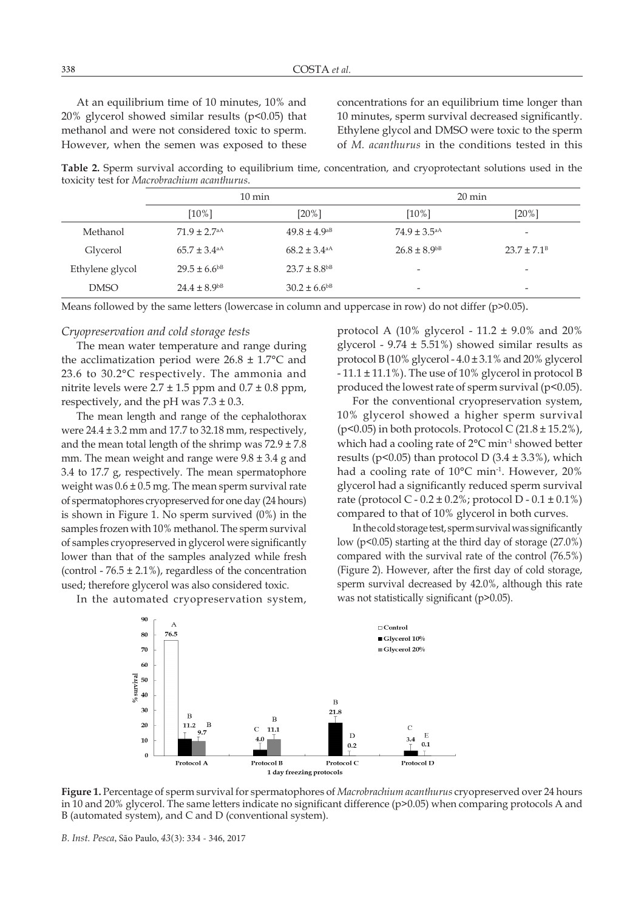At an equilibrium time of 10 minutes, 10% and 20% glycerol showed similar results ( $p$ <0.05) that methanol and were not considered toxic to sperm. However, when the semen was exposed to these concentrations for an equilibrium time longer than 10 minutes, sperm survival decreased significantly. Ethylene glycol and DMSO were toxic to the sperm of *M. acanthurus* in the conditions tested in this

**Table 2.** Sperm survival according to equilibrium time, concentration, and cryoprotectant solutions used in the toxicity test for *Macrobrachium acanthurus*.

|                 | $10 \text{ min}$             |                              | $20 \text{ min}$             |                          |
|-----------------|------------------------------|------------------------------|------------------------------|--------------------------|
|                 | $[10\%]$                     | $[20\%]$                     | $[10\%]$                     | $[20\%]$                 |
| Methanol        | $71.9 \pm 2.7$ <sup>aA</sup> | $49.8 \pm 4.9$ <sup>aB</sup> | $74.9 \pm 3.5^{aA}$          | $\overline{\phantom{a}}$ |
| Glycerol        | $65.7 \pm 3.4^{\text{aA}}$   | $68.2 \pm 3.4^{\text{aA}}$   | $26.8 \pm 8.9$ <sup>bB</sup> | $23.7 \pm 7.1^{\circ}$   |
| Ethylene glycol | $29.5 \pm 6.6^{b}$           | $23.7 \pm 8.8$ <sup>bB</sup> | $\overline{\phantom{a}}$     | $\overline{\phantom{a}}$ |
| <b>DMSO</b>     | $24.4 \pm 8.9^{b}$           | $30.2 \pm 6.6^{b}$           | $\overline{\phantom{a}}$     | $\overline{\phantom{a}}$ |

Means followed by the same letters (lowercase in column and uppercase in row) do not differ (p>0.05).

### *Cryopreservation and cold storage tests*

The mean water temperature and range during the acclimatization period were  $26.8 \pm 1.7$ °C and 23.6 to 30.2°C respectively. The ammonia and nitrite levels were  $2.7 \pm 1.5$  ppm and  $0.7 \pm 0.8$  ppm, respectively, and the pH was  $7.3 \pm 0.3$ .

The mean length and range of the cephalothorax were  $24.4 \pm 3.2$  mm and 17.7 to 32.18 mm, respectively, and the mean total length of the shrimp was  $72.9 \pm 7.8$ mm. The mean weight and range were 9.8 ± 3.4 g and 3.4 to 17.7 g, respectively. The mean spermatophore weight was  $0.6 \pm 0.5$  mg. The mean sperm survival rate of spermatophores cryopreserved for one day (24 hours) is shown in Figure 1. No sperm survived (0%) in the samples frozen with 10% methanol. The sperm survival of samples cryopreserved in glycerol were significantly lower than that of the samples analyzed while fresh (control -  $76.5 \pm 2.1\%$ ), regardless of the concentration used; therefore glycerol was also considered toxic.

In the automated cryopreservation system,

protocol A (10% glycerol - 11.2  $\pm$  9.0% and 20% glycerol -  $9.74 \pm 5.51\%$ ) showed similar results as protocol B (10% glycerol -  $4.0 \pm 3.1$ % and 20% glycerol  $-11.1 \pm 11.1\%$ ). The use of 10% glycerol in protocol B produced the lowest rate of sperm survival ( $p$ <0.05).

For the conventional cryopreservation system, 10% glycerol showed a higher sperm survival ( $p$ <0.05) in both protocols. Protocol C ( $21.8 \pm 15.2\%$ ), which had a cooling rate of 2°C min<sup>-1</sup> showed better results ( $p$ <0.05) than protocol D (3.4  $\pm$  3.3%), which had a cooling rate of 10°C min<sup>-1</sup>. However, 20% glycerol had a significantly reduced sperm survival rate (protocol C -  $0.2 \pm 0.2$ %; protocol D -  $0.1 \pm 0.1$ %) compared to that of 10% glycerol in both curves.

In the cold storage test, sperm survival was significantly low (p<0.05) starting at the third day of storage (27.0%) compared with the survival rate of the control (76.5%) (Figure 2). However, after the first day of cold storage, sperm survival decreased by 42.0%, although this rate was not statistically significant (p>0.05).



**Figure 1.** Percentage of sperm survival for spermatophores of *Macrobrachium acanthurus* cryopreserved over 24 hours in 10 and 20% glycerol. The same letters indicate no significant difference (p>0.05) when comparing protocols A and B (automated system), and C and D (conventional system).

*B. Inst. Pesca*, São Paulo, *43*(3): 334 - 346, 2017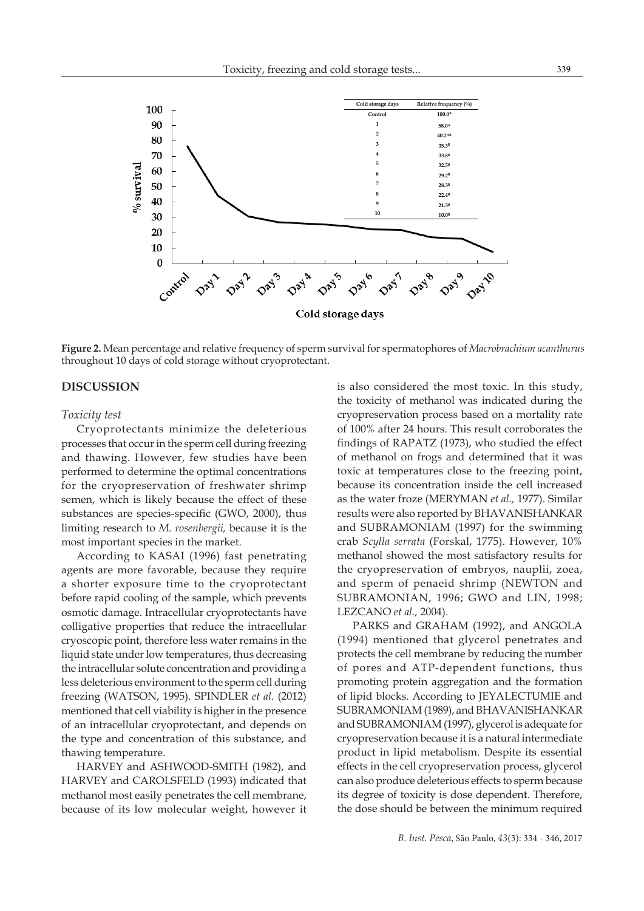

**Figure 2.** Mean percentage and relative frequency of sperm survival for spermatophores of *Macrobrachium acanthurus*  throughout 10 days of cold storage without cryoprotectant.

## **DISCUSSION**

#### *Toxicity test*

Cryoprotectants minimize the deleterious processes that occur in the sperm cell during freezing and thawing. However, few studies have been performed to determine the optimal concentrations for the cryopreservation of freshwater shrimp semen, which is likely because the effect of these substances are species-specific (GWO, 2000), thus limiting research to *M. rosenbergii,* because it is the most important species in the market.

According to KASAI (1996) fast penetrating agents are more favorable, because they require a shorter exposure time to the cryoprotectant before rapid cooling of the sample, which prevents osmotic damage. Intracellular cryoprotectants have colligative properties that reduce the intracellular cryoscopic point, therefore less water remains in the liquid state under low temperatures, thus decreasing the intracellular solute concentration and providing a less deleterious environment to the sperm cell during freezing (WATSON, 1995). SPINDLER *et al.* (2012) mentioned that cell viability is higher in the presence of an intracellular cryoprotectant, and depends on the type and concentration of this substance, and thawing temperature.

HARVEY and ASHWOOD-SMITH (1982), and HARVEY and CAROLSFELD (1993) indicated that methanol most easily penetrates the cell membrane, because of its low molecular weight, however it

is also considered the most toxic. In this study, the toxicity of methanol was indicated during the cryopreservation process based on a mortality rate of 100% after 24 hours. This result corroborates the findings of RAPATZ (1973), who studied the effect of methanol on frogs and determined that it was toxic at temperatures close to the freezing point, because its concentration inside the cell increased as the water froze (MERYMAN *et al.,* 1977). Similar results were also reported by BHAVANISHANKAR and SUBRAMONIAM (1997) for the swimming crab *Scylla serrata* (Forskal, 1775). However, 10% methanol showed the most satisfactory results for the cryopreservation of embryos, nauplii, zoea, and sperm of penaeid shrimp (NEWTON and SUBRAMONIAN, 1996; GWO and LIN, 1998; LEZCANO *et al.,* 2004).

PARKS and GRAHAM (1992), and ANGOLA (1994) mentioned that glycerol penetrates and protects the cell membrane by reducing the number of pores and ATP-dependent functions, thus promoting protein aggregation and the formation of lipid blocks. According to JEYALECTUMIE and SUBRAMONIAM (1989), and BHAVANISHANKAR and SUBRAMONIAM (1997), glycerol is adequate for cryopreservation because it is a natural intermediate product in lipid metabolism. Despite its essential effects in the cell cryopreservation process, glycerol can also produce deleterious effects to sperm because its degree of toxicity is dose dependent. Therefore, the dose should be between the minimum required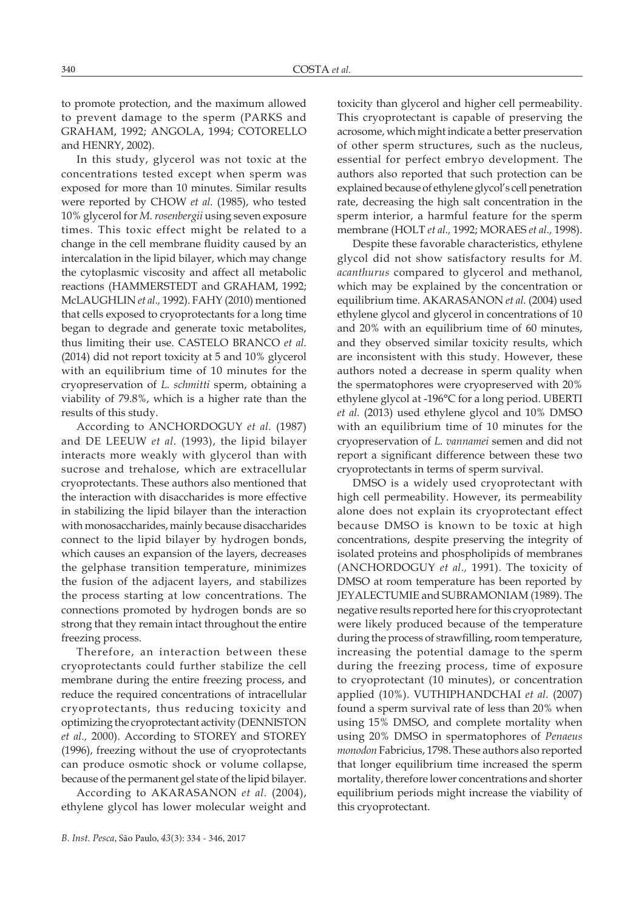to promote protection, and the maximum allowed to prevent damage to the sperm (PARKS and GRAHAM, 1992; ANGOLA, 1994; COTORELLO and HENRY, 2002).

In this study, glycerol was not toxic at the concentrations tested except when sperm was exposed for more than 10 minutes. Similar results were reported by CHOW *et al.* (1985), who tested 10% glycerol for *M. rosenbergii* using seven exposure times. This toxic effect might be related to a change in the cell membrane fluidity caused by an intercalation in the lipid bilayer, which may change the cytoplasmic viscosity and affect all metabolic reactions (HAMMERSTEDT and GRAHAM, 1992; McLAUGHLIN *et al.,* 1992). FAHY (2010) mentioned that cells exposed to cryoprotectants for a long time began to degrade and generate toxic metabolites, thus limiting their use. CASTELO BRANCO *et al.* (2014) did not report toxicity at 5 and 10% glycerol with an equilibrium time of 10 minutes for the cryopreservation of *L. schmitti* sperm, obtaining a viability of 79.8%, which is a higher rate than the results of this study.

According to ANCHORDOGUY *et al.* (1987) and DE LEEUW *et al.* (1993), the lipid bilayer interacts more weakly with glycerol than with sucrose and trehalose, which are extracellular cryoprotectants. These authors also mentioned that the interaction with disaccharides is more effective in stabilizing the lipid bilayer than the interaction with monosaccharides, mainly because disaccharides connect to the lipid bilayer by hydrogen bonds, which causes an expansion of the layers, decreases the gelphase transition temperature, minimizes the fusion of the adjacent layers, and stabilizes the process starting at low concentrations. The connections promoted by hydrogen bonds are so strong that they remain intact throughout the entire freezing process.

Therefore, an interaction between these cryoprotectants could further stabilize the cell membrane during the entire freezing process, and reduce the required concentrations of intracellular cryoprotectants, thus reducing toxicity and optimizing the cryoprotectant activity (DENNISTON *et al.,* 2000). According to STOREY and STOREY (1996), freezing without the use of cryoprotectants can produce osmotic shock or volume collapse, because of the permanent gel state of the lipid bilayer.

According to AKARASANON *et al.* (2004), ethylene glycol has lower molecular weight and toxicity than glycerol and higher cell permeability. This cryoprotectant is capable of preserving the acrosome, which might indicate a better preservation of other sperm structures, such as the nucleus, essential for perfect embryo development. The authors also reported that such protection can be explained because of ethylene glycol's cell penetration rate, decreasing the high salt concentration in the sperm interior, a harmful feature for the sperm membrane (HOLT *et al.,* 1992; MORAES *et al.,* 1998).

Despite these favorable characteristics, ethylene glycol did not show satisfactory results for *M. acanthurus* compared to glycerol and methanol, which may be explained by the concentration or equilibrium time. AKARASANON *et al.* (2004) used ethylene glycol and glycerol in concentrations of 10 and 20% with an equilibrium time of 60 minutes, and they observed similar toxicity results, which are inconsistent with this study. However, these authors noted a decrease in sperm quality when the spermatophores were cryopreserved with 20% ethylene glycol at -196°C for a long period. UBERTI *et al.* (2013) used ethylene glycol and 10% DMSO with an equilibrium time of 10 minutes for the cryopreservation of *L. vannamei* semen and did not report a significant difference between these two cryoprotectants in terms of sperm survival.

DMSO is a widely used cryoprotectant with high cell permeability. However, its permeability alone does not explain its cryoprotectant effect because DMSO is known to be toxic at high concentrations, despite preserving the integrity of isolated proteins and phospholipids of membranes (ANCHORDOGUY *et al.,* 1991). The toxicity of DMSO at room temperature has been reported by JEYALECTUMIE and SUBRAMONIAM (1989). The negative results reported here for this cryoprotectant were likely produced because of the temperature during the process of strawfilling, room temperature, increasing the potential damage to the sperm during the freezing process, time of exposure to cryoprotectant (10 minutes), or concentration applied (10%). VUTHIPHANDCHAI *et al.* (2007) found a sperm survival rate of less than 20% when using 15% DMSO, and complete mortality when using 20% DMSO in spermatophores of *Penaeus monodon* Fabricius, 1798. These authors also reported that longer equilibrium time increased the sperm mortality, therefore lower concentrations and shorter equilibrium periods might increase the viability of this cryoprotectant.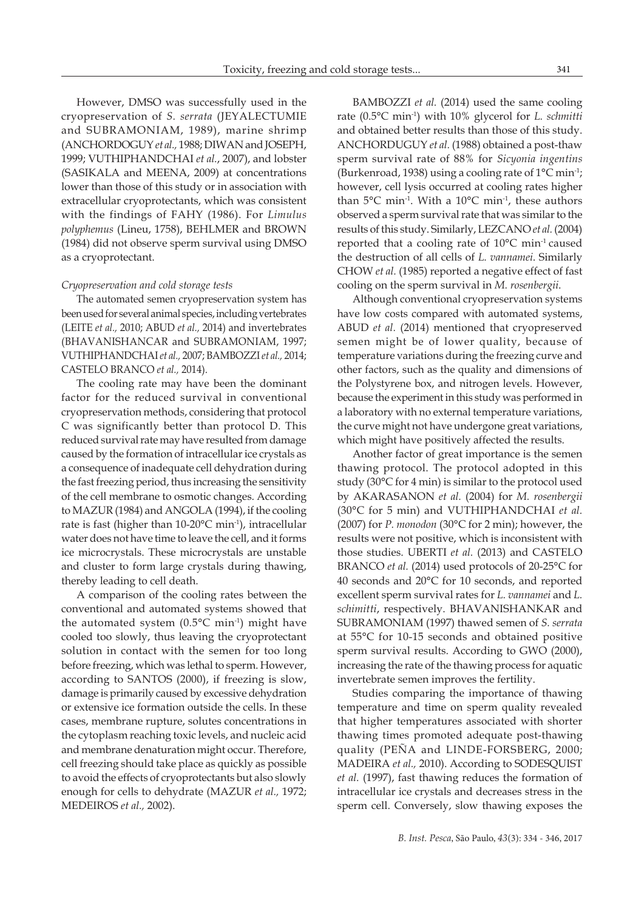However, DMSO was successfully used in the cryopreservation of *S. serrata* (JEYALECTUMIE and SUBRAMONIAM, 1989), marine shrimp (ANCHORDOGUY *et al.,* 1988; DIWAN and JOSEPH, 1999; VUTHIPHANDCHAI *et al.*, 2007), and lobster (SASIKALA and MEENA, 2009) at concentrations lower than those of this study or in association with extracellular cryoprotectants, which was consistent with the findings of FAHY (1986). For *Limulus polyphemus* (Lineu, 1758), BEHLMER and BROWN (1984) did not observe sperm survival using DMSO as a cryoprotectant.

#### *Cryopreservation and cold storage tests*

The automated semen cryopreservation system has been used for several animal species, including vertebrates (LEITE *et al.,* 2010; ABUD *et al.,* 2014) and invertebrates (BHAVANISHANCAR and SUBRAMONIAM, 1997; VUTHIPHANDCHAI *et al.,* 2007; BAMBOZZI *et al.,* 2014; CASTELO BRANCO *et al.,* 2014).

The cooling rate may have been the dominant factor for the reduced survival in conventional cryopreservation methods, considering that protocol C was significantly better than protocol D. This reduced survival rate may have resulted from damage caused by the formation of intracellular ice crystals as a consequence of inadequate cell dehydration during the fast freezing period, thus increasing the sensitivity of the cell membrane to osmotic changes. According to MAZUR (1984) and ANGOLA (1994), if the cooling rate is fast (higher than 10-20°C min-1), intracellular water does not have time to leave the cell, and it forms ice microcrystals. These microcrystals are unstable and cluster to form large crystals during thawing, thereby leading to cell death.

A comparison of the cooling rates between the conventional and automated systems showed that the automated system  $(0.5^{\circ}C \text{ min}^{-1})$  might have cooled too slowly, thus leaving the cryoprotectant solution in contact with the semen for too long before freezing, which was lethal to sperm. However, according to SANTOS (2000), if freezing is slow, damage is primarily caused by excessive dehydration or extensive ice formation outside the cells. In these cases, membrane rupture, solutes concentrations in the cytoplasm reaching toxic levels, and nucleic acid and membrane denaturation might occur. Therefore, cell freezing should take place as quickly as possible to avoid the effects of cryoprotectants but also slowly enough for cells to dehydrate (MAZUR *et al.,* 1972; MEDEIROS *et al.,* 2002).

BAMBOZZI *et al.* (2014) used the same cooling rate (0.5°C min-1) with 10% glycerol for *L. schmitti* and obtained better results than those of this study. ANCHORDUGUY *et al.* (1988) obtained a post-thaw sperm survival rate of 88% for *Sicyonia ingentins* (Burkenroad, 1938) using a cooling rate of  $1^{\circ}$ C min<sup>-1</sup>; however, cell lysis occurred at cooling rates higher than  $5^{\circ}$ C min<sup>-1</sup>. With a 10 $^{\circ}$ C min<sup>-1</sup>, these authors observed a sperm survival rate that was similar to the results of this study. Similarly, LEZCANO *et al.* (2004) reported that a cooling rate of 10°C min-1 caused the destruction of all cells of *L. vannamei*. Similarly CHOW *et al.* (1985) reported a negative effect of fast cooling on the sperm survival in *M. rosenbergii*.

Although conventional cryopreservation systems have low costs compared with automated systems, ABUD *et al.* (2014) mentioned that cryopreserved semen might be of lower quality, because of temperature variations during the freezing curve and other factors, such as the quality and dimensions of the Polystyrene box, and nitrogen levels. However, because the experiment in this study was performed in a laboratory with no external temperature variations, the curve might not have undergone great variations, which might have positively affected the results.

Another factor of great importance is the semen thawing protocol. The protocol adopted in this study (30°C for 4 min) is similar to the protocol used by AKARASANON *et al.* (2004) for *M. rosenbergii* (30°C for 5 min) and VUTHIPHANDCHAI *et al.* (2007) for *P. monodon* (30°C for 2 min); however, the results were not positive, which is inconsistent with those studies. UBERTI *et al.* (2013) and CASTELO BRANCO *et al.* (2014) used protocols of 20-25°C for 40 seconds and 20°C for 10 seconds, and reported excellent sperm survival rates for *L. vannamei* and *L. schimitti*, respectively. BHAVANISHANKAR and SUBRAMONIAM (1997) thawed semen of *S. serrata* at 55°C for 10-15 seconds and obtained positive sperm survival results. According to GWO (2000), increasing the rate of the thawing process for aquatic invertebrate semen improves the fertility.

Studies comparing the importance of thawing temperature and time on sperm quality revealed that higher temperatures associated with shorter thawing times promoted adequate post-thawing quality (PEÑA and LINDE-FORSBERG, 2000; MADEIRA *et al.,* 2010). According to SODESQUIST *et al.* (1997), fast thawing reduces the formation of intracellular ice crystals and decreases stress in the sperm cell. Conversely, slow thawing exposes the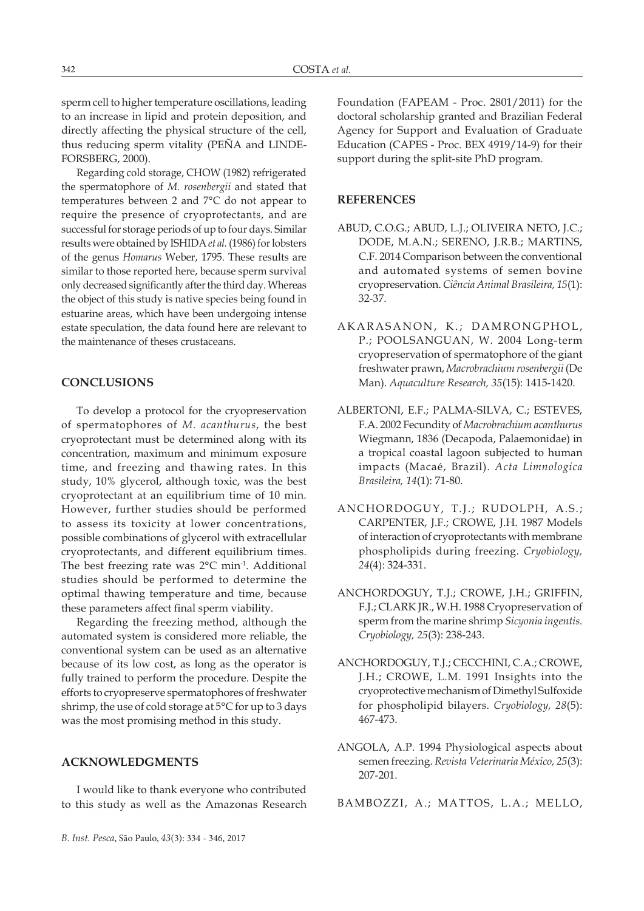sperm cell to higher temperature oscillations, leading to an increase in lipid and protein deposition, and directly affecting the physical structure of the cell, thus reducing sperm vitality (PEÑA and LINDE-FORSBERG, 2000).

Regarding cold storage, CHOW (1982) refrigerated the spermatophore of *M. rosenbergii* and stated that temperatures between 2 and 7°C do not appear to require the presence of cryoprotectants, and are successful for storage periods of up to four days. Similar results were obtained by ISHIDA *et al.* (1986) for lobsters of the genus *Homarus* Weber, 1795. These results are similar to those reported here, because sperm survival only decreased significantly after the third day. Whereas the object of this study is native species being found in estuarine areas, which have been undergoing intense estate speculation, the data found here are relevant to the maintenance of theses crustaceans.

## **CONCLUSIONS**

To develop a protocol for the cryopreservation of spermatophores of *M. acanthurus*, the best cryoprotectant must be determined along with its concentration, maximum and minimum exposure time, and freezing and thawing rates. In this study, 10% glycerol, although toxic, was the best cryoprotectant at an equilibrium time of 10 min. However, further studies should be performed to assess its toxicity at lower concentrations, possible combinations of glycerol with extracellular cryoprotectants, and different equilibrium times. The best freezing rate was 2°C min<sup>-1</sup>. Additional studies should be performed to determine the optimal thawing temperature and time, because these parameters affect final sperm viability.

Regarding the freezing method, although the automated system is considered more reliable, the conventional system can be used as an alternative because of its low cost, as long as the operator is fully trained to perform the procedure. Despite the efforts to cryopreserve spermatophores of freshwater shrimp, the use of cold storage at 5°C for up to 3 days was the most promising method in this study.

### **ACKNOWLEDGMENTS**

I would like to thank everyone who contributed to this study as well as the Amazonas Research Foundation (FAPEAM - Proc. 2801/2011) for the doctoral scholarship granted and Brazilian Federal Agency for Support and Evaluation of Graduate Education (CAPES - Proc. BEX 4919/14-9) for their support during the split-site PhD program.

### **REFERENCES**

- ABUD, C.O.G.; ABUD, L.J.; OLIVEIRA NETO, J.C.; DODE, M.A.N.; SERENO, J.R.B.; MARTINS, C.F. 2014 Comparison between the conventional and automated systems of semen bovine cryopreservation. *Ciência Animal Brasileira, 15*(1): 32-37.
- AKARASANON, K.; DAMRONGPHOL, P.; POOLSANGUAN, W. 2004 Long-term cryopreservation of spermatophore of the giant freshwater prawn, *Macrobrachium rosenbergii* (De Man). *Aquaculture Research, 35*(15): 1415-1420.
- ALBERTONI, E.F.; PALMA-SILVA, C.; ESTEVES, F.A. 2002 Fecundity of *Macrobrachium acanthurus*  Wiegmann, 1836 (Decapoda, Palaemonidae) in a tropical coastal lagoon subjected to human impacts (Macaé, Brazil). *Acta Limnologica Brasileira, 14*(1): 71-80.
- ANCHORDOGUY, T.J.; RUDOLPH, A.S.; CARPENTER, J.F.; CROWE, J.H. 1987 Models of interaction of cryoprotectants with membrane phospholipids during freezing. *Cryobiology, 24*(4): 324-331.
- ANCHORDOGUY, T.J.; CROWE, J.H.; GRIFFIN, F.J.; CLARK JR., W.H. 1988 Cryopreservation of sperm from the marine shrimp *Sicyonia ingentis. Cryobiology, 25*(3): 238-243.
- ANCHORDOGUY, T.J.; CECCHINI, C.A.; CROWE, J.H.; CROWE, L.M. 1991 Insights into the cryoprotective mechanism of Dimethyl Sulfoxide for phospholipid bilayers. *Cryobiology, 28*(5): 467-473.
- ANGOLA, A.P. 1994 Physiological aspects about semen freezing. *Revista Veterinaria México, 25*(3): 207-201.

BAMBOZZI, A.; MATTOS, L.A.; MELLO,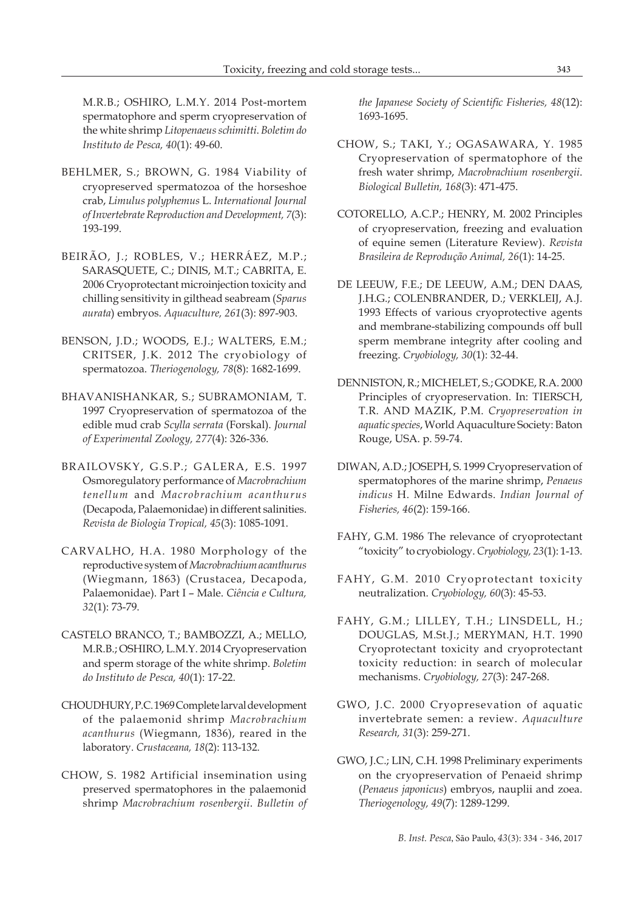M.R.B.; OSHIRO, L.M.Y. 2014 Post-mortem spermatophore and sperm cryopreservation of the white shrimp *Litopenaeus schimitti*. *Boletim do Instituto de Pesca, 40*(1): 49-60.

- BEHLMER, S.; BROWN, G. 1984 Viability of cryopreserved spermatozoa of the horseshoe crab, *Limulus polyphemus* L. *International Journal of Invertebrate Reproduction and Development, 7*(3): 193-199.
- BEIRÃO, J.; ROBLES, V.; HERRÁEZ, M.P.; SARASQUETE, C.; DINIS, M.T.; CABRITA, E. 2006 Cryoprotectant microinjection toxicity and chilling sensitivity in gilthead seabream (*Sparus aurata*) embryos. *Aquaculture, 261*(3): 897-903.
- BENSON, J.D.; WOODS, E.J.; WALTERS, E.M.; CRITSER, J.K. 2012 The cryobiology of spermatozoa. *Theriogenology, 78*(8): 1682-1699.
- BHAVANISHANKAR, S.; SUBRAMONIAM, T. 1997 Cryopreservation of spermatozoa of the edible mud crab *Scylla serrata* (Forskal). *Journal of Experimental Zoology, 277*(4): 326-336.
- BRAILOVSKY, G.S.P.; GALERA, E.S. 1997 Osmoregulatory performance of *Macrobrachium tenellum* and *Macrobrachium acanthurus* (Decapoda, Palaemonidae) in different salinities. *Revista de Biologia Tropical, 45*(3): 1085-1091.
- CARVALHO, H.A. 1980 Morphology of the reproductive system of *Macrobrachium acanthurus* (Wiegmann, 1863) (Crustacea, Decapoda, Palaemonidae). Part I – Male. *Ciência e Cultura, 32*(1): 73-79.
- CASTELO BRANCO, T.; BAMBOZZI, A.; MELLO, M.R.B.; OSHIRO, L.M.Y. 2014 Cryopreservation and sperm storage of the white shrimp. *Boletim do Instituto de Pesca, 40*(1): 17-22.
- CHOUDHURY, P.C. 1969 Complete larval development of the palaemonid shrimp *Macrobrachium acanthurus* (Wiegmann, 1836), reared in the laboratory. *Crustaceana, 18*(2): 113-132.
- CHOW, S. 1982 Artificial insemination using preserved spermatophores in the palaemonid shrimp *Macrobrachium rosenbergii*. *Bulletin of*

*the Japanese Society of Scientific Fisheries, 48*(12): 1693-1695.

- CHOW, S.; TAKI, Y.; OGASAWARA, Y. 1985 Cryopreservation of spermatophore of the fresh water shrimp, *Macrobrachium rosenbergii*. *Biological Bulletin, 168*(3): 471-475.
- COTORELLO, A.C.P.; HENRY, M. 2002 Principles of cryopreservation, freezing and evaluation of equine semen (Literature Review). *Revista Brasileira de Reprodução Animal, 26*(1): 14-25.
- DE LEEUW, F.E.; DE LEEUW, A.M.; DEN DAAS, J.H.G.; COLENBRANDER, D.; VERKLEIJ, A.J. 1993 Effects of various cryoprotective agents and membrane-stabilizing compounds off bull sperm membrane integrity after cooling and freezing. *Cryobiology, 30*(1): 32-44.
- DENNISTON, R.; MICHELET, S.; GODKE, R.A. 2000 Principles of cryopreservation. In: TIERSCH, T.R. AND MAZIK, P.M. *Cryopreservation in aquatic species*, World Aquaculture Society: Baton Rouge, USA. p. 59-74.
- DIWAN, A.D.; JOSEPH, S. 1999 Cryopreservation of spermatophores of the marine shrimp, *Penaeus indicus* H. Milne Edwards. *Indian Journal of Fisheries, 46*(2): 159-166.
- FAHY, G.M. 1986 The relevance of cryoprotectant "toxicity" to cryobiology. *Cryobiology, 23*(1): 1-13.
- FAHY, G.M. 2010 Cryoprotectant toxicity neutralization. *Cryobiology, 60*(3): 45-53.
- FAHY, G.M.; LILLEY, T.H.; LINSDELL, H.; DOUGLAS, M.St.J.; MERYMAN, H.T. 1990 Cryoprotectant toxicity and cryoprotectant toxicity reduction: in search of molecular mechanisms. *Cryobiology, 27*(3): 247-268.
- GWO, J.C. 2000 Cryopresevation of aquatic invertebrate semen: a review. *Aquaculture Research, 31*(3): 259-271.
- GWO, J.C.; LIN, C.H. 1998 Preliminary experiments on the cryopreservation of Penaeid shrimp (*Penaeus japonicus*) embryos, nauplii and zoea. *Theriogenology, 49*(7): 1289-1299.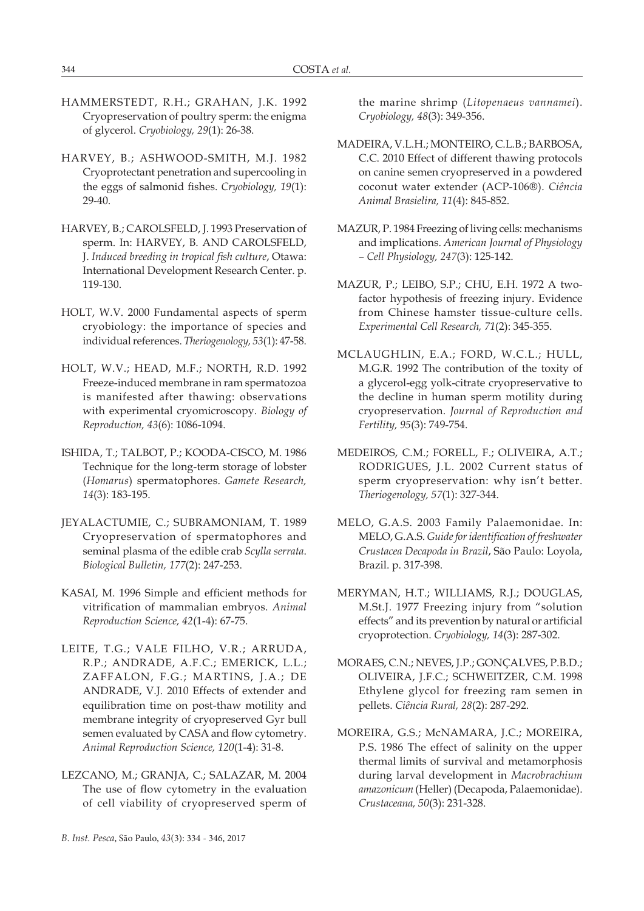- HAMMERSTEDT, R.H.; GRAHAN, J.K. 1992 Cryopreservation of poultry sperm: the enigma of glycerol. *Cryobiology, 29*(1): 26-38.
- HARVEY, B.; ASHWOOD-SMITH, M.J. 1982 Cryoprotectant penetration and supercooling in the eggs of salmonid fishes. *Cryobiology, 19*(1): 29-40.
- HARVEY, B.; CAROLSFELD, J. 1993 Preservation of sperm. In: HARVEY, B. AND CAROLSFELD, J. *Induced breeding in tropical fish culture*, Otawa: International Development Research Center. p. 119-130.
- HOLT, W.V. 2000 Fundamental aspects of sperm cryobiology: the importance of species and individual references. *Theriogenology, 53*(1): 47-58.
- HOLT, W.V.; HEAD, M.F.; NORTH, R.D. 1992 Freeze-induced membrane in ram spermatozoa is manifested after thawing: observations with experimental cryomicroscopy. *Biology of Reproduction, 43*(6): 1086-1094.
- ISHIDA, T.; TALBOT, P.; KOODA-CISCO, M. 1986 Technique for the long-term storage of lobster (*Homarus*) spermatophores. *Gamete Research, 14*(3): 183-195.
- JEYALACTUMIE, C.; SUBRAMONIAM, T. 1989 Cryopreservation of spermatophores and seminal plasma of the edible crab *Scylla serrata*. *Biological Bulletin, 177*(2): 247-253.
- KASAI, M. 1996 Simple and efficient methods for vitrification of mammalian embryos. *Animal Reproduction Science, 42*(1-4): 67-75.
- LEITE, T.G.; VALE FILHO, V.R.; ARRUDA, R.P.; ANDRADE, A.F.C.; EMERICK, L.L.; ZAFFALON, F.G.; MARTINS, J.A.; DE ANDRADE, V.J. 2010 Effects of extender and equilibration time on post-thaw motility and membrane integrity of cryopreserved Gyr bull semen evaluated by CASA and flow cytometry. *Animal Reproduction Science, 120*(1-4): 31-8.
- LEZCANO, M.; GRANJA, C.; SALAZAR, M. 2004 The use of flow cytometry in the evaluation of cell viability of cryopreserved sperm of

the marine shrimp (*Litopenaeus vannamei*). *Cryobiology, 48*(3): 349-356.

- MADEIRA, V.L.H.; MONTEIRO, C.L.B.; BARBOSA, C.C. 2010 Effect of different thawing protocols on canine semen cryopreserved in a powdered coconut water extender (ACP-106®). *Ciência Animal Brasielira, 11*(4): 845-852.
- MAZUR, P. 1984 Freezing of living cells: mechanisms and implications. *American Journal of Physiology – Cell Physiology, 247*(3): 125-142.
- MAZUR, P.; LEIBO, S.P.; CHU, E.H. 1972 A twofactor hypothesis of freezing injury. Evidence from Chinese hamster tissue-culture cells. *Experimental Cell Research, 71*(2): 345-355.
- MCLAUGHLIN, E.A.; FORD, W.C.L.; HULL, M.G.R. 1992 The contribution of the toxity of a glycerol-egg yolk-citrate cryopreservative to the decline in human sperm motility during cryopreservation. *Journal of Reproduction and Fertility, 95*(3): 749-754.
- MEDEIROS, C.M.; FORELL, F.; OLIVEIRA, A.T.; RODRIGUES, J.L. 2002 Current status of sperm cryopreservation: why isn't better. *Theriogenology, 57*(1): 327-344.
- MELO, G.A.S. 2003 Family Palaemonidae. In: MELO, G.A.S. *Guide for identification of freshwater Crustacea Decapoda in Brazil*, São Paulo: Loyola, Brazil. p. 317-398.
- MERYMAN, H.T.; WILLIAMS, R.J.; DOUGLAS, M.St.J. 1977 Freezing injury from "solution effects" and its prevention by natural or artificial cryoprotection. *Cryobiology, 14*(3): 287-302.
- MORAES, C.N.; NEVES, J.P.; GONÇALVES, P.B.D.; OLIVEIRA, J.F.C.; SCHWEITZER, C.M. 1998 Ethylene glycol for freezing ram semen in pellets. *Ciência Rural, 28*(2): 287-292.
- MOREIRA, G.S.; McNAMARA, J.C.; MOREIRA, P.S. 1986 The effect of salinity on the upper thermal limits of survival and metamorphosis during larval development in *Macrobrachium amazonicum* (Heller) (Decapoda, Palaemonidae). *Crustaceana, 50*(3): 231-328.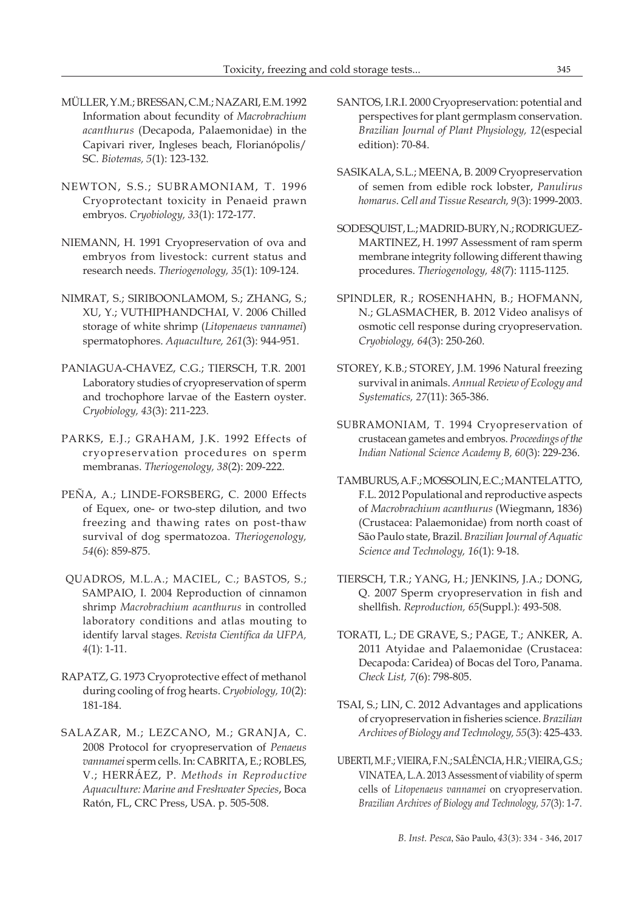- MÜLLER, Y.M.; BRESSAN, C.M.; NAZARI, E.M. 1992 Information about fecundity of *Macrobrachium acanthurus* (Decapoda, Palaemonidae) in the Capivari river, Ingleses beach, Florianópolis/ SC. *Biotemas, 5*(1): 123-132.
- NEWTON, S.S.; SUBRAMONIAM, T. 1996 Cryoprotectant toxicity in Penaeid prawn embryos. *Cryobiology, 33*(1): 172-177.
- NIEMANN, H. 1991 Cryopreservation of ova and embryos from livestock: current status and research needs. *Theriogenology, 35*(1): 109-124.
- NIMRAT, S.; SIRIBOONLAMOM, S.; ZHANG, S.; XU, Y.; VUTHIPHANDCHAI, V. 2006 Chilled storage of white shrimp (*Litopenaeus vannamei*) spermatophores. *Aquaculture, 261*(3): 944-951.
- PANIAGUA-CHAVEZ, C.G.; TIERSCH, T.R. 2001 Laboratory studies of cryopreservation of sperm and trochophore larvae of the Eastern oyster. *Cryobiology, 43*(3): 211-223.
- PARKS, E.J.; GRAHAM, J.K. 1992 Effects of cryopreservation procedures on sperm membranas. *Theriogenology, 38*(2): 209-222.
- PEÑA, A.; LINDE-FORSBERG, C. 2000 Effects of Equex, one- or two-step dilution, and two freezing and thawing rates on post-thaw survival of dog spermatozoa. *Theriogenology, 54*(6): 859-875.
- QUADROS, M.L.A.; MACIEL, C.; BASTOS, S.; SAMPAIO, I. 2004 Reproduction of cinnamon shrimp *Macrobrachium acanthurus* in controlled laboratory conditions and atlas mouting to identify larval stages. *Revista Científica da UFPA, 4*(1): 1-11.
- RAPATZ, G. 1973 Cryoprotective effect of methanol during cooling of frog hearts. *Cryobiology, 10*(2): 181-184.
- SALAZAR, M.; LEZCANO, M.; GRANJA, C. 2008 Protocol for cryopreservation of *Penaeus vannamei* sperm cells. In: CABRITA, E.; ROBLES, V.; HERRÁEZ, P. *Methods in Reproductive Aquaculture: Marine and Freshwater Species*, Boca Ratón, FL, CRC Press, USA. p. 505-508.
- SANTOS, I.R.I. 2000 Cryopreservation: potential and perspectives for plant germplasm conservation. *Brazilian Journal of Plant Physiology, 12*(especial edition): 70-84.
- SASIKALA, S.L.; MEENA, B. 2009 Cryopreservation of semen from edible rock lobster, *Panulirus homarus*. *Cell and Tissue Research, 9*(3): 1999-2003.
- SODESQUIST, L.; MADRID-BURY, N.; RODRIGUEZ-MARTINEZ, H. 1997 Assessment of ram sperm membrane integrity following different thawing procedures. *Theriogenology, 48*(7): 1115-1125.
- SPINDLER, R.; ROSENHAHN, B.; HOFMANN, N.; GLASMACHER, B. 2012 Video analisys of osmotic cell response during cryopreservation. *Cryobiology, 64*(3): 250-260.
- STOREY, K.B.; STOREY, J.M. 1996 Natural freezing survival in animals. *Annual Review of Ecology and Systematics, 27*(11): 365-386.
- SUBRAMONIAM, T. 1994 Cryopreservation of crustacean gametes and embryos. *Proceedings of the Indian National Science Academy B, 60*(3): 229-236.
- TAMBURUS, A.F.; MOSSOLIN, E.C.; MANTELATTO, F.L. 2012 Populational and reproductive aspects of *Macrobrachium acanthurus* (Wiegmann, 1836) (Crustacea: Palaemonidae) from north coast of São Paulo state, Brazil. *Brazilian Journal of Aquatic Science and Technology, 16*(1): 9-18.
- TIERSCH, T.R.; YANG, H.; JENKINS, J.A.; DONG, Q. 2007 Sperm cryopreservation in fish and shellfish. *Reproduction, 65*(Suppl.): 493-508.
- TORATI, L.; DE GRAVE, S.; PAGE, T.; ANKER, A. 2011 Atyidae and Palaemonidae (Crustacea: Decapoda: Caridea) of Bocas del Toro, Panama. *Check List, 7*(6): 798-805.
- TSAI, S.; LIN, C. 2012 Advantages and applications of cryopreservation in fisheries science. *Brazilian Archives of Biology and Technology, 55*(3): 425-433.
- UBERTI, M.F.; VIEIRA, F.N.; SALÊNCIA, H.R.; VIEIRA, G.S.; VINATEA, L.A. 2013 Assessment of viability of sperm cells of *Litopenaeus vannamei* on cryopreservation. *Brazilian Archives of Biology and Technology, 57*(3): 1-7.